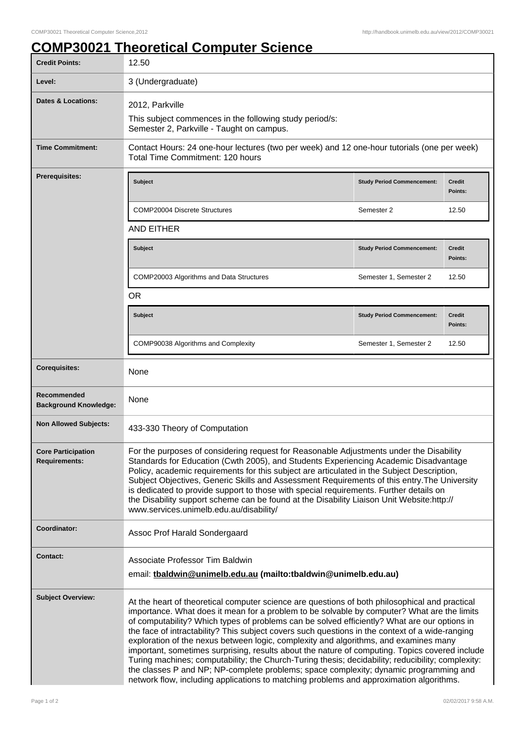## **COMP30021 Theoretical Computer Science**

| <b>Credit Points:</b>                             | 12.50                                                                                                                                                                                                                                                                                                                                                                                                                                                                                                                                                                                                                                                                                                                                                                                                                                                                               |                                   |                          |
|---------------------------------------------------|-------------------------------------------------------------------------------------------------------------------------------------------------------------------------------------------------------------------------------------------------------------------------------------------------------------------------------------------------------------------------------------------------------------------------------------------------------------------------------------------------------------------------------------------------------------------------------------------------------------------------------------------------------------------------------------------------------------------------------------------------------------------------------------------------------------------------------------------------------------------------------------|-----------------------------------|--------------------------|
| Level:                                            | 3 (Undergraduate)                                                                                                                                                                                                                                                                                                                                                                                                                                                                                                                                                                                                                                                                                                                                                                                                                                                                   |                                   |                          |
| <b>Dates &amp; Locations:</b>                     | 2012, Parkville                                                                                                                                                                                                                                                                                                                                                                                                                                                                                                                                                                                                                                                                                                                                                                                                                                                                     |                                   |                          |
|                                                   | This subject commences in the following study period/s:<br>Semester 2, Parkville - Taught on campus.                                                                                                                                                                                                                                                                                                                                                                                                                                                                                                                                                                                                                                                                                                                                                                                |                                   |                          |
| <b>Time Commitment:</b>                           | Contact Hours: 24 one-hour lectures (two per week) and 12 one-hour tutorials (one per week)<br>Total Time Commitment: 120 hours                                                                                                                                                                                                                                                                                                                                                                                                                                                                                                                                                                                                                                                                                                                                                     |                                   |                          |
| <b>Prerequisites:</b>                             | <b>Subject</b>                                                                                                                                                                                                                                                                                                                                                                                                                                                                                                                                                                                                                                                                                                                                                                                                                                                                      | <b>Study Period Commencement:</b> | <b>Credit</b><br>Points: |
|                                                   | <b>COMP20004 Discrete Structures</b>                                                                                                                                                                                                                                                                                                                                                                                                                                                                                                                                                                                                                                                                                                                                                                                                                                                | Semester 2                        | 12.50                    |
|                                                   | <b>AND EITHER</b>                                                                                                                                                                                                                                                                                                                                                                                                                                                                                                                                                                                                                                                                                                                                                                                                                                                                   |                                   |                          |
|                                                   | <b>Subject</b>                                                                                                                                                                                                                                                                                                                                                                                                                                                                                                                                                                                                                                                                                                                                                                                                                                                                      | <b>Study Period Commencement:</b> | <b>Credit</b><br>Points: |
|                                                   | COMP20003 Algorithms and Data Structures                                                                                                                                                                                                                                                                                                                                                                                                                                                                                                                                                                                                                                                                                                                                                                                                                                            | Semester 1, Semester 2            | 12.50                    |
|                                                   | <b>OR</b>                                                                                                                                                                                                                                                                                                                                                                                                                                                                                                                                                                                                                                                                                                                                                                                                                                                                           |                                   |                          |
|                                                   | <b>Subject</b>                                                                                                                                                                                                                                                                                                                                                                                                                                                                                                                                                                                                                                                                                                                                                                                                                                                                      | <b>Study Period Commencement:</b> | <b>Credit</b><br>Points: |
|                                                   | COMP90038 Algorithms and Complexity                                                                                                                                                                                                                                                                                                                                                                                                                                                                                                                                                                                                                                                                                                                                                                                                                                                 | Semester 1, Semester 2            | 12.50                    |
| <b>Corequisites:</b>                              | None                                                                                                                                                                                                                                                                                                                                                                                                                                                                                                                                                                                                                                                                                                                                                                                                                                                                                |                                   |                          |
| Recommended<br><b>Background Knowledge:</b>       | None                                                                                                                                                                                                                                                                                                                                                                                                                                                                                                                                                                                                                                                                                                                                                                                                                                                                                |                                   |                          |
| <b>Non Allowed Subjects:</b>                      | 433-330 Theory of Computation                                                                                                                                                                                                                                                                                                                                                                                                                                                                                                                                                                                                                                                                                                                                                                                                                                                       |                                   |                          |
| <b>Core Participation</b><br><b>Requirements:</b> | For the purposes of considering request for Reasonable Adjustments under the Disability<br>Standards for Education (Cwth 2005), and Students Experiencing Academic Disadvantage<br>Policy, academic requirements for this subject are articulated in the Subject Description,<br>Subject Objectives, Generic Skills and Assessment Requirements of this entry. The University<br>is dedicated to provide support to those with special requirements. Further details on<br>the Disability support scheme can be found at the Disability Liaison Unit Website:http://<br>www.services.unimelb.edu.au/disability/                                                                                                                                                                                                                                                                     |                                   |                          |
| Coordinator:                                      | Assoc Prof Harald Sondergaard                                                                                                                                                                                                                                                                                                                                                                                                                                                                                                                                                                                                                                                                                                                                                                                                                                                       |                                   |                          |
| <b>Contact:</b>                                   | Associate Professor Tim Baldwin<br>email: thaldwin@unimelb.edu.au (mailto:tbaldwin@unimelb.edu.au)                                                                                                                                                                                                                                                                                                                                                                                                                                                                                                                                                                                                                                                                                                                                                                                  |                                   |                          |
| <b>Subject Overview:</b>                          | At the heart of theoretical computer science are questions of both philosophical and practical<br>importance. What does it mean for a problem to be solvable by computer? What are the limits<br>of computability? Which types of problems can be solved efficiently? What are our options in<br>the face of intractability? This subject covers such questions in the context of a wide-ranging<br>exploration of the nexus between logic, complexity and algorithms, and examines many<br>important, sometimes surprising, results about the nature of computing. Topics covered include<br>Turing machines; computability; the Church-Turing thesis; decidability; reducibility; complexity:<br>the classes P and NP; NP-complete problems; space complexity; dynamic programming and<br>network flow, including applications to matching problems and approximation algorithms. |                                   |                          |